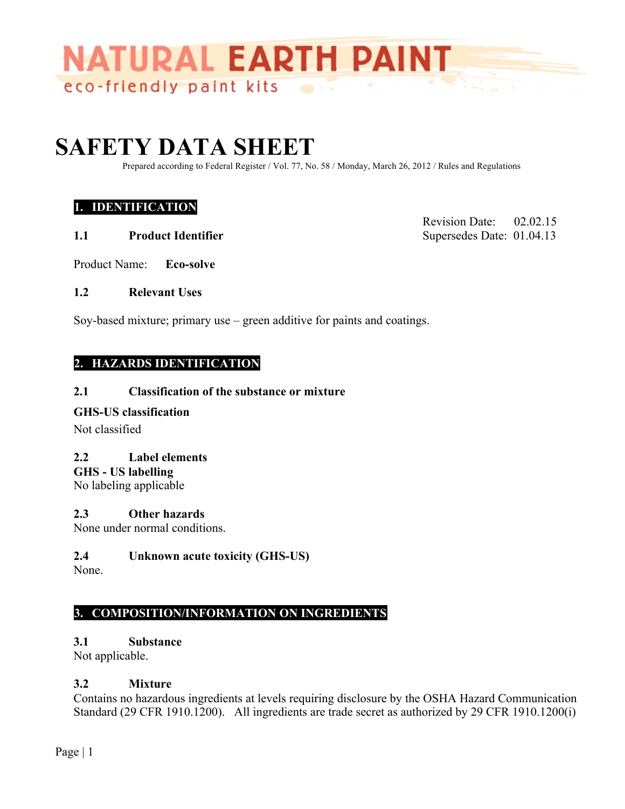

# **SAFETY DATA SHEET**

Prepared according to Federal Register / Vol. 77, No. 58 / Monday, March 26, 2012 / Rules and Regulations

## **1. IDENTIFICATION**

**1.1** Product Identifier Supersedes Date: 01.04.13

Revision Date: 02.02.15

- Product Name: **Eco-solve**
- **1.2 Relevant Uses**

Soy-based mixture; primary use – green additive for paints and coatings.

## **2. HAZARDS IDENTIFICATION**

#### **2.1 Classification of the substance or mixture**

#### **GHS-US classification**

Not classified

#### **2.2 Label elements**

**GHS - US labelling**

No labeling applicable

#### **2.3 Other hazards**

None under normal conditions.

#### **2.4 Unknown acute toxicity (GHS-US)**

None.

## **3. COMPOSITION/INFORMATION ON INGREDIENTS**

#### **3.1 Substance**

Not applicable.

#### **3.2 Mixture**

Contains no hazardous ingredients at levels requiring disclosure by the OSHA Hazard Communication Standard (29 CFR 1910.1200). All ingredients are trade secret as authorized by 29 CFR 1910.1200(i)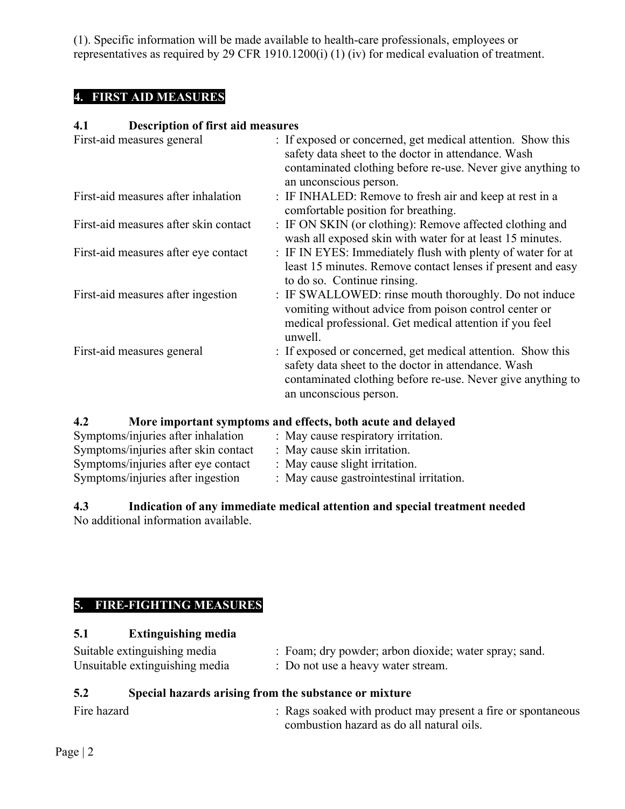(1). Specific information will be made available to health-care professionals, employees or representatives as required by 29 CFR 1910.1200(i) (1) (iv) for medical evaluation of treatment.

## **4. FIRST AID MEASURES**

## **4.1 Description of first aid measures**

| First-aid measures general            | : If exposed or concerned, get medical attention. Show this<br>safety data sheet to the doctor in attendance. Wash<br>contaminated clothing before re-use. Never give anything to<br>an unconscious person. |
|---------------------------------------|-------------------------------------------------------------------------------------------------------------------------------------------------------------------------------------------------------------|
| First-aid measures after inhalation   | : IF INHALED: Remove to fresh air and keep at rest in a<br>comfortable position for breathing.                                                                                                              |
| First-aid measures after skin contact | : IF ON SKIN (or clothing): Remove affected clothing and<br>wash all exposed skin with water for at least 15 minutes.                                                                                       |
| First-aid measures after eye contact  | : IF IN EYES: Immediately flush with plenty of water for at<br>least 15 minutes. Remove contact lenses if present and easy<br>to do so. Continue rinsing.                                                   |
| First-aid measures after ingestion    | : IF SWALLOWED: rinse mouth thoroughly. Do not induce<br>vomiting without advice from poison control center or<br>medical professional. Get medical attention if you feel<br>unwell.                        |
| First-aid measures general            | : If exposed or concerned, get medical attention. Show this<br>safety data sheet to the doctor in attendance. Wash<br>contaminated clothing before re-use. Never give anything to<br>an unconscious person. |

**4.2 More important symptoms and effects, both acute and delayed**

| Symptoms/injuries after inhalation   | : May cause respiratory irritation.      |
|--------------------------------------|------------------------------------------|
| Symptoms/injuries after skin contact | : May cause skin irritation.             |
| Symptoms/injuries after eye contact  | : May cause slight irritation.           |
| Symptoms/injuries after ingestion    | : May cause gastrointestinal irritation. |

#### **4.3 Indication of any immediate medical attention and special treatment needed** No additional information available.

# **5. FIRE-FIGHTING MEASURES**

## **5.1 Extinguishing media**

| Suitable extinguishing media   | : Foam; dry powder; arbon dioxide; water spray; sand. |
|--------------------------------|-------------------------------------------------------|
| Unsuitable extinguishing media | : Do not use a heavy water stream.                    |

# **5.2 Special hazards arising from the substance or mixture**

| Fire hazard | : Rags soaked with product may present a fire or spontaneous |
|-------------|--------------------------------------------------------------|
|             | combustion hazard as do all natural oils.                    |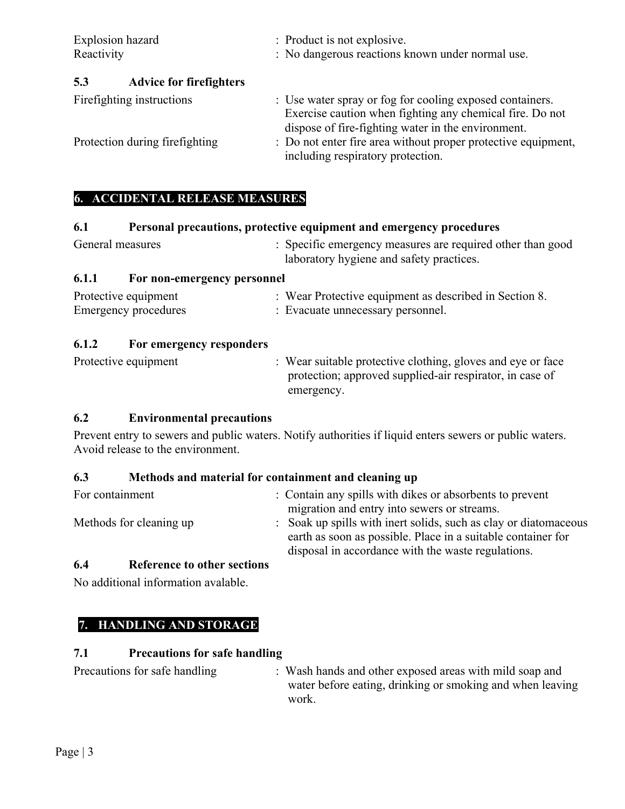| Explosion hazard<br>Reactivity |                                | : Product is not explosive.<br>: No dangerous reactions known under normal use.                                                                                            |  |
|--------------------------------|--------------------------------|----------------------------------------------------------------------------------------------------------------------------------------------------------------------------|--|
| 5.3                            | <b>Advice for firefighters</b> |                                                                                                                                                                            |  |
| Firefighting instructions      |                                | : Use water spray or fog for cooling exposed containers.<br>Exercise caution when fighting any chemical fire. Do not<br>dispose of fire-fighting water in the environment. |  |
| Protection during firefighting |                                | : Do not enter fire area without proper protective equipment,                                                                                                              |  |

## **6. ACCIDENTAL RELEASE MEASURES**

#### **6.1 Personal precautions, protective equipment and emergency procedures**

| General measures | : Specific emergency measures are required other than good |
|------------------|------------------------------------------------------------|
|                  | laboratory hygiene and safety practices.                   |

including respiratory protection.

## **6.1.1 For non-emergency personnel**

| Protective equipment | : Wear Protective equipment as described in Section 8. |
|----------------------|--------------------------------------------------------|
| Emergency procedures | : Evacuate unnecessary personnel.                      |

## **6.1.2 For emergency responders**

| Protective equipment | : Wear suitable protective clothing, gloves and eye or face |  |
|----------------------|-------------------------------------------------------------|--|
|                      | protection; approved supplied-air respirator, in case of    |  |
|                      | emergency.                                                  |  |

## **6.2 Environmental precautions**

Prevent entry to sewers and public waters. Notify authorities if liquid enters sewers or public waters. Avoid release to the environment.

#### **6.3 Methods and material for containment and cleaning up**

| For containment         | : Contain any spills with dikes or absorbents to prevent         |
|-------------------------|------------------------------------------------------------------|
|                         | migration and entry into sewers or streams.                      |
| Methods for cleaning up | : Soak up spills with inert solids, such as clay or diatomaceous |
|                         | earth as soon as possible. Place in a suitable container for     |
|                         | disposal in accordance with the waste regulations.               |

## **6.4 Reference to other sections**

No additional information avalable.

## **7. HANDLING AND STORAGE**

## **7.1 Precautions for safe handling**

| Precautions for safe handling | : Wash hands and other exposed areas with mild soap and   |
|-------------------------------|-----------------------------------------------------------|
|                               | water before eating, drinking or smoking and when leaving |
|                               | work.                                                     |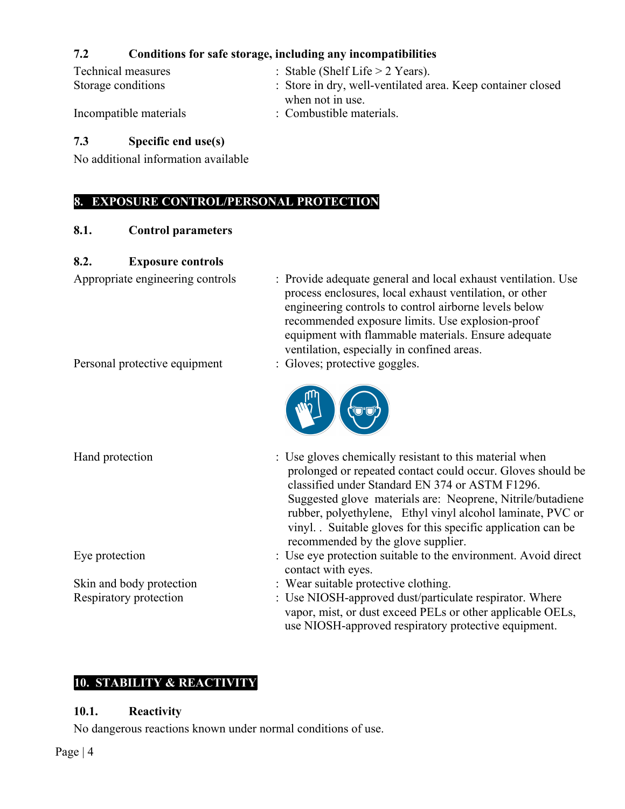## **7.2 Conditions for safe storage, including any incompatibilities**

| Technical measures     | : Stable (Shelf Life $>$ 2 Years).                          |
|------------------------|-------------------------------------------------------------|
| Storage conditions     | : Store in dry, well-ventilated area. Keep container closed |
| Incompatible materials | when not in use.<br>: Combustible materials.                |

## **7.3 Specific end use(s)**

No additional information available

# **8. EXPOSURE CONTROL/PERSONAL PROTECTION**

#### **8.1. Control parameters**

## **8.2. Exposure controls**

Appropriate engineering controls : Provide adequate general and local exhaust ventilation. Use process enclosures, local exhaust ventilation, or other engineering controls to control airborne levels below recommended exposure limits. Use explosion-proof equipment with flammable materials. Ensure adequate ventilation, especially in confined areas.

use NIOSH-approved respiratory protective equipment.

Personal protective equipment : Gloves; protective goggles.



Hand protection : Use gloves chemically resistant to this material when prolonged or repeated contact could occur. Gloves should be classified under Standard EN 374 or ASTM F1296. Suggested glove materials are: Neoprene, Nitrile/butadiene rubber, polyethylene, Ethyl vinyl alcohol laminate, PVC or vinyl. . Suitable gloves for this specific application can be recommended by the glove supplier. Eye protection : Use eye protection suitable to the environment. Avoid direct contact with eyes. Skin and body protection : Wear suitable protective clothing. Respiratory protection : Use NIOSH-approved dust/particulate respirator. Where vapor, mist, or dust exceed PELs or other applicable OELs,

# **10. STABILITY & REACTIVITY**

## **10.1. Reactivity**

No dangerous reactions known under normal conditions of use.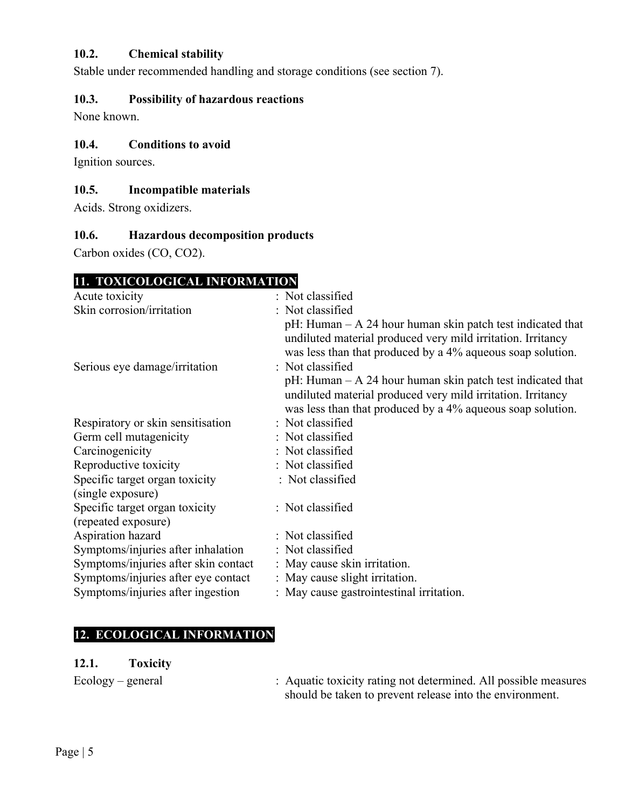## **10.2. Chemical stability**

Stable under recommended handling and storage conditions (see section 7).

#### **10.3. Possibility of hazardous reactions**

None known.

#### **10.4. Conditions to avoid**

Ignition sources.

## **10.5. Incompatible materials**

Acids. Strong oxidizers.

## **10.6. Hazardous decomposition products**

Carbon oxides (CO, CO2).

# **11. TOXICOLOGICAL INFORMATION**

| Acute toxicity                       | : Not classified                                                                                                                                                                           |
|--------------------------------------|--------------------------------------------------------------------------------------------------------------------------------------------------------------------------------------------|
| Skin corrosion/irritation            | : Not classified                                                                                                                                                                           |
|                                      | $pH$ : Human – A 24 hour human skin patch test indicated that<br>undiluted material produced very mild irritation. Irritancy<br>was less than that produced by a 4% aqueous soap solution. |
| Serious eye damage/irritation        | : Not classified                                                                                                                                                                           |
|                                      | $pH$ : Human – A 24 hour human skin patch test indicated that<br>undiluted material produced very mild irritation. Irritancy<br>was less than that produced by a 4% aqueous soap solution. |
| Respiratory or skin sensitisation    | : Not classified                                                                                                                                                                           |
| Germ cell mutagenicity               | : Not classified                                                                                                                                                                           |
| Carcinogenicity                      | : Not classified                                                                                                                                                                           |
| Reproductive toxicity                | : Not classified                                                                                                                                                                           |
| Specific target organ toxicity       | : Not classified                                                                                                                                                                           |
| (single exposure)                    |                                                                                                                                                                                            |
| Specific target organ toxicity       | : Not classified                                                                                                                                                                           |
| (repeated exposure)                  |                                                                                                                                                                                            |
| Aspiration hazard                    | : Not classified                                                                                                                                                                           |
| Symptoms/injuries after inhalation   | : Not classified                                                                                                                                                                           |
| Symptoms/injuries after skin contact | : May cause skin irritation.                                                                                                                                                               |
| Symptoms/injuries after eye contact  | : May cause slight irritation.                                                                                                                                                             |
| Symptoms/injuries after ingestion    | : May cause gastrointestinal irritation.                                                                                                                                                   |

# **12. ECOLOGICAL INFORMATION**

#### **12.1. Toxicity**

Ecology – general : Aquatic toxicity rating not determined. All possible measures should be taken to prevent release into the environment.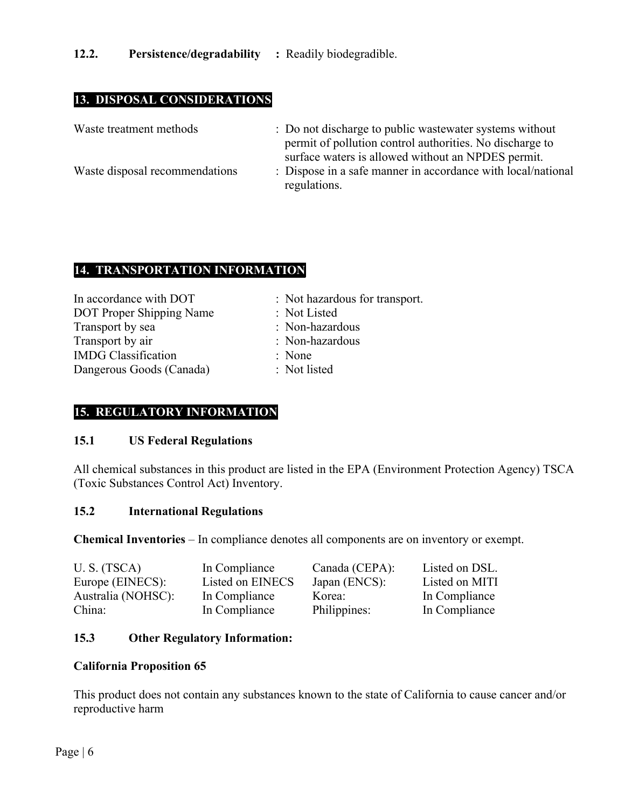# **13. DISPOSAL CONSIDERATIONS**

| Waste treatment methods        | : Do not discharge to public was tewater systems without<br>permit of pollution control authorities. No discharge to |
|--------------------------------|----------------------------------------------------------------------------------------------------------------------|
| Waste disposal recommendations | surface waters is allowed without an NPDES permit.<br>: Dispose in a safe manner in accordance with local/national   |
|                                | regulations.                                                                                                         |

## **14. TRANSPORTATION INFORMATION**

| In accordance with DOT          | : Not hazardous for transport. |
|---------------------------------|--------------------------------|
| <b>DOT</b> Proper Shipping Name | : Not Listed                   |
| Transport by sea                | : Non-hazardous                |
| Transport by air                | : Non-hazardous                |
| <b>IMDG</b> Classification      | : None                         |
| Dangerous Goods (Canada)        | : Not listed                   |

## **15. REGULATORY INFORMATION**

#### **15.1 US Federal Regulations**

All chemical substances in this product are listed in the EPA (Environment Protection Agency) TSCA (Toxic Substances Control Act) Inventory.

#### **15.2 International Regulations**

**Chemical Inventories** – In compliance denotes all components are on inventory or exempt.

| U.S. (TSCA)        | In Compliance    | Canada (CEPA): | Listed on DSL. |
|--------------------|------------------|----------------|----------------|
| Europe (EINECS):   | Listed on EINECS | Japan (ENCS):  | Listed on MITI |
| Australia (NOHSC): | In Compliance    | Korea:         | In Compliance  |
| China:             | In Compliance    | Philippines:   | In Compliance  |

#### **15.3 Other Regulatory Information:**

#### **California Proposition 65**

This product does not contain any substances known to the state of California to cause cancer and/or reproductive harm